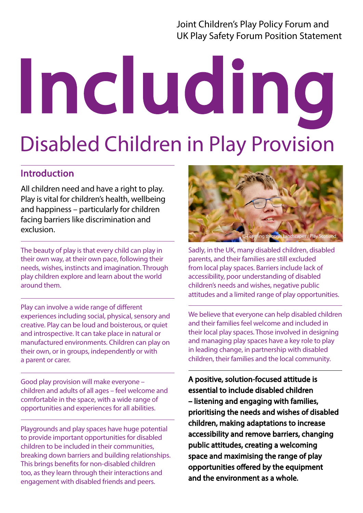Joint Children's Play Policy Forum and UK Play Safety Forum Position Statement

# Including Disabled Children in Play Provision

# Introduction

All children need and have a right to play. Play is vital for children's health, wellbeing and happiness – particularly for children facing barriers like discrimination and exclusion.

The beauty of play is that every child can play in their own way, at their own pace, following their needs, wishes, instincts and imagination. Through play children explore and learn about the world around them.

Play can involve a wide range of different experiences including social, physical, sensory and creative. Play can be loud and boisterous, or quiet and introspective. It can take place in natural or manufactured environments. Children can play on their own, or in groups, independently or with a parent or carer.

Good play provision will make everyone – children and adults of all ages – feel welcome and comfortable in the space, with a wide range of opportunities and experiences for all abilities.

Playgrounds and play spaces have huge potential to provide important opportunities for disabled children to be included in their communities, breaking down barriers and building relationships. This brings benefits for non-disabled children too, as they learn through their interactions and engagement with disabled friends and peers.



Sadly, in the UK, many disabled children, disabled parents, and their families are still excluded from local play spaces. Barriers include lack of accessibility, poor understanding of disabled children's needs and wishes, negative public attitudes and a limited range of play opportunities.

We believe that everyone can help disabled children and their families feel welcome and included in their local play spaces. Those involved in designing and managing play spaces have a key role to play in leading change, in partnership with disabled children, their families and the local community.

A positive, solution-focused attitude is essential to include disabled children – listening and engaging with families, prioritising the needs and wishes of disabled children, making adaptations to increase accessibility and remove barriers, changing public attitudes, creating a welcoming space and maximising the range of play opportunities offered by the equipment and the environment as a whole.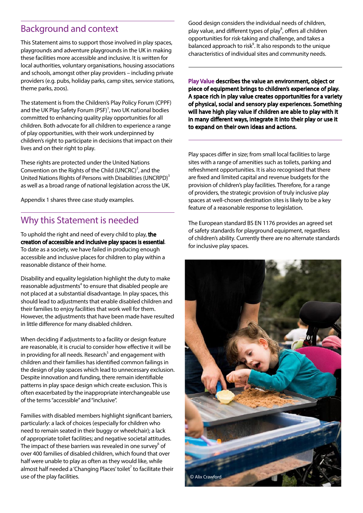# Background and context

This Statement aims to support those involved in play spaces, playgrounds and adventure playgrounds in the UK in making these facilities more accessible and inclusive. It is written for local authorities, voluntary organisations, housing associations and schools, amongst other play providers – including private providers (e.g. pubs, holiday parks, camp sites, service stations, theme parks, zoos).

The statement is from the Children's Play Policy Forum (CPPF) and the UK Play Safety Forum (PSF)<sup>1</sup>, two UK national bodies committed to enhancing quality play opportunities for all children. Both advocate for all children to experience a range of play opportunities, with their work underpinned by children's right to participate in decisions that impact on their lives and on their right to play.

These rights are protected under the United Nations Convention on the Rights of the Child (UNCRC)<sup>2</sup>, and the United Nations Rights of Persons with Disabilities (UNCRPD)<sup>3</sup> as well as a broad range of national legislation across the UK.

Appendix 1 shares three case study examples.

### Why this Statement is needed

To uphold the right and need of every child to play, the creation of accessible and inclusive play spaces is essential. To date as a society, we have failed in producing enough accessible and inclusive places for children to play within a reasonable distance of their home.

Disability and equality legislation highlight the duty to make reasonable adjustments<sup>4</sup> to ensure that disabled people are not placed at a substantial disadvantage. In play spaces, this should lead to adjustments that enable disabled children and their families to enjoy facilities that work well for them. However, the adjustments that have been made have resulted in little difference for many disabled children.

When deciding if adjustments to a facility or design feature are reasonable, it is crucial to consider how effective it will be in providing for all needs. Research<sup>5</sup> and engagement with children and their families has identified common failings in the design of play spaces which lead to unnecessary exclusion. Despite innovation and funding, there remain identifiable patterns in play space design which create exclusion. This is often exacerbated by the inappropriate interchangeable use of the terms "accessible" and "inclusive".

Families with disabled members highlight significant barriers, particularly: a lack of choices (especially for children who need to remain seated in their buggy or wheelchair); a lack of appropriate toilet facilities; and negative societal attitudes. The impact of these barriers was revealed in one survey $^6$  of over 400 families of disabled children, which found that over half were unable to play as often as they would like, while almost half needed a 'Changing Places' toilet<sup>7</sup> to facilitate their use of the play facilities.

Good design considers the individual needs of children, play value, and different types of play<sup>8</sup>, offers all children opportunities for risk-taking and challenge, and takes a balanced approach to risk<sup>9</sup>. It also responds to the unique characteristics of individual sites and community needs.

Play Value describes the value an environment, object or piece of equipment brings to children's experience of play. A space rich in play value creates opportunities for a variety of physical, social and sensory play experiences. Something will have high play value if children are able to play with it in many different ways, integrate it into their play or use it to expand on their own ideas and actions.

Play spaces differ in size; from small local facilities to large sites with a range of amenities such as toilets, parking and refreshment opportunities. It is also recognised that there are fixed and limited capital and revenue budgets for the provision of children's play facilities. Therefore, for a range of providers, the strategic provision of truly inclusive play spaces at well-chosen destination sites is likely to be a key feature of a reasonable response to legislation.

The European standard BS EN 1176 provides an agreed set of safety standards for playground equipment, regardless of children's ability. Currently there are no alternate standards for inclusive play spaces.

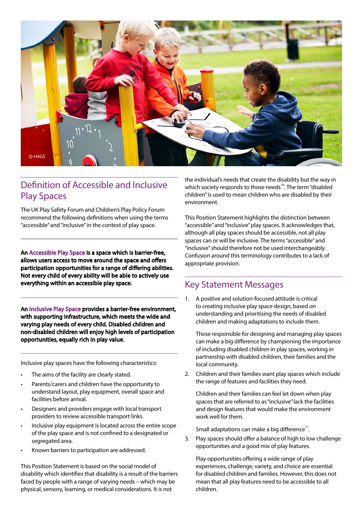

## Definition of Accessible and Inclusive Play Spaces

The UK Play Safety Forum and Children's Play Policy Forum recommend the following definitions when using the terms "accessible" and "inclusive" in the context of play space.

An Accessible Play Space is a space which is barrier-free, allows users access to move around the space and offers participation opportunities for a range of differing abilities. Not every child of every ability will be able to actively use everything within an accessible play space.

An Inclusive Play Space provides a barrier-free environment, with supporting infrastructure, which meets the wide and varying play needs of every child. Disabled children and non-disabled children will enjoy high levels of participation opportunities, equally rich in play value.

Inclusive play spaces have the following characteristics:

- The aims of the facility are clearly stated.
- Parents/carers and children have the opportunity to understand layout, play equipment, overall space and facilities before arrival.
- Designers and providers engage with local transport providers to review accessible transport links.
- Inclusive play equipment is located across the entire scope of the play space and is not confined to a designated or segregated area.
- Known barriers to participation are addressed.

This Position Statement is based on the social model of disability which identifies that disability is a result of the barriers faced by people with a range of varying needs – which may be physical, sensory, learning, or medical considerations. It is not

the individual's needs that create the disability but the way in which society responds to those needs<sup>10</sup>. The term "disabled children" is used to mean children who are disabled by their environment.

This Position Statement highlights the distinction between "accessible" and "inclusive" play spaces. It acknowledges that, although all play spaces should be accessible, not all play spaces can or will be inclusive. The terms "accessible" and "inclusive" should therefore not be used interchangeably. Confusion around this terminology contributes to a lack of appropriate provision.

### Key Statement Messages

1. A positive and solution-focused attitude is critical to creating inclusive play space design, based on understanding and prioritising the needs of disabled children and making adaptations to include them.

Those responsible for designing and managing play spaces can make a big difference by championing the importance of including disabled children in play spaces, working in partnership with disabled children, their families and the local community.

2. Children and their families want play spaces which include the range of features and facilities they need.

Children and their families can feel let down when play spaces that are referred to as "inclusive" lack the facilities and design features that would make the environment work well for them.

Small adaptations can make a big difference $^{11}$ .

3. Play spaces should offer a balance of high to low challenge opportunities and a good mix of play features.

Play opportunities offering a wide range of play experiences, challenge, variety, and choice are essential for disabled children and families. However, this does not mean that all play features need to be accessible to all children.